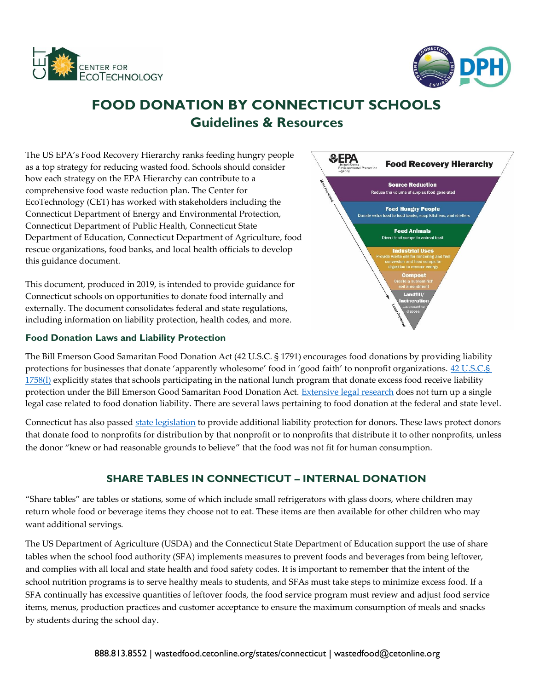



# **FOOD DONATION BY CONNECTICUT SCHOOLS Guidelines & Resources**

The US EPA's Food Recovery Hierarchy ranks feeding hungry people as a top strategy for reducing wasted food. Schools should consider how each strategy on the EPA Hierarchy can contribute to a comprehensive food waste reduction plan. The Center for EcoTechnology (CET) has worked with stakeholders including the Connecticut Department of Energy and Environmental Protection, Connecticut Department of Public Health, Connecticut State Department of Education, Connecticut Department of Agriculture, food rescue organizations, food banks, and local health officials to develop this guidance document.

This document, produced in 2019, is intended to provide guidance for Connecticut schools on opportunities to donate food internally and externally. The document consolidates federal and state regulations, including information on liability protection, health codes, and more.

## **Food Donation Laws and Liability Protection**



The Bill Emerson Good Samaritan Food Donation Act (42 U.S.C. § 1791) encourages food donations by providing liability protections for businesses that donate 'apparently wholesome' food in 'good faith' to nonprofit organizations. 42 U.S.C.§ [1758\(l\)](https://www.law.cornell.edu/uscode/text/42/1758) explicitly states that schools participating in the national lunch program that donate excess food receive liability protection under the Bill Emerson Good Samaritan Food Donation Act. [Extensive legal research](https://portal.ct.gov/-/media/DEEP/waste_management_and_disposal/Solid_Waste_Management_Plan/Final_Harvard_Food_Fact_Sheets/FINALLiabilityFactSheetforConnecticutFoodDonationspdf.pdf?la=en) does not turn up a single legal case related to food donation liability. There are several laws pertaining to food donation at the federal and state level.

Connecticut has also passed [state legislation](https://www.cga.ct.gov/current/pub/chap_925.htm#sec_52-557l) to provide additional liability protection for donors. These laws protect donors that donate food to nonprofits for distribution by that nonprofit or to nonprofits that distribute it to other nonprofits, unless the donor "knew or had reasonable grounds to believe" that the food was not fit for human consumption.

## **SHARE TABLES IN CONNECTICUT – INTERNAL DONATION**

"Share tables" are tables or stations, some of which include small refrigerators with glass doors, where children may return whole food or beverage items they choose not to eat. These items are then available for other children who may want additional servings.

The US Department of Agriculture (USDA) and the Connecticut State Department of Education support the use of share tables when the school food authority (SFA) implements measures to prevent foods and beverages from being leftover, and complies with all local and state health and food safety codes. It is important to remember that the intent of the school nutrition programs is to serve healthy meals to students, and SFAs must take steps to minimize excess food. If a SFA continually has excessive quantities of leftover foods, the food service program must review and adjust food service items, menus, production practices and customer acceptance to ensure the maximum consumption of meals and snacks by students during the school day.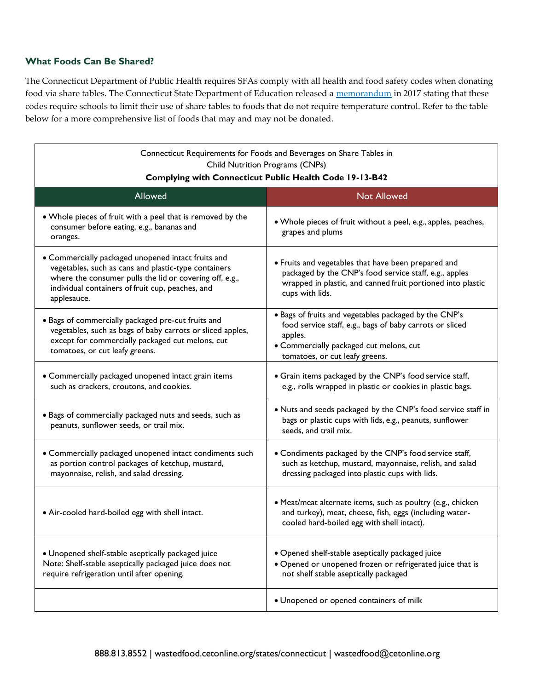## **What Foods Can Be Shared?**

The Connecticut Department of Public Health requires SFAs comply with all health and food safety codes when donating food via share tables. The Connecticut State Department of Education released a [memorandum](https://portal.ct.gov/-/media/SDE/Nutrition/NSLP/Memos/OM2016/OM06-16.pdf) in 2017 stating that these codes require schools to limit their use of share tables to foods that do not require temperature control. Refer to the table below for a more comprehensive list of foods that may and may not be donated.

| Connecticut Requirements for Foods and Beverages on Share Tables in<br>Child Nutrition Programs (CNPs)<br>Complying with Connecticut Public Health Code 19-13-B42                                                                        |                                                                                                                                                                                                           |
|------------------------------------------------------------------------------------------------------------------------------------------------------------------------------------------------------------------------------------------|-----------------------------------------------------------------------------------------------------------------------------------------------------------------------------------------------------------|
| Allowed                                                                                                                                                                                                                                  | <b>Not Allowed</b>                                                                                                                                                                                        |
| . Whole pieces of fruit with a peel that is removed by the<br>consumer before eating, e.g., bananas and<br>oranges.                                                                                                                      | • Whole pieces of fruit without a peel, e.g., apples, peaches,<br>grapes and plums                                                                                                                        |
| • Commercially packaged unopened intact fruits and<br>vegetables, such as cans and plastic-type containers<br>where the consumer pulls the lid or covering off, e.g.,<br>individual containers of fruit cup, peaches, and<br>applesauce. | • Fruits and vegetables that have been prepared and<br>packaged by the CNP's food service staff, e.g., apples<br>wrapped in plastic, and canned fruit portioned into plastic<br>cups with lids.           |
| · Bags of commercially packaged pre-cut fruits and<br>vegetables, such as bags of baby carrots or sliced apples,<br>except for commercially packaged cut melons, cut<br>tomatoes, or cut leafy greens.                                   | . Bags of fruits and vegetables packaged by the CNP's<br>food service staff, e.g., bags of baby carrots or sliced<br>apples.<br>• Commercially packaged cut melons, cut<br>tomatoes, or cut leafy greens. |
| • Commercially packaged unopened intact grain items<br>such as crackers, croutons, and cookies.                                                                                                                                          | • Grain items packaged by the CNP's food service staff,<br>e.g., rolls wrapped in plastic or cookies in plastic bags.                                                                                     |
| · Bags of commercially packaged nuts and seeds, such as<br>peanuts, sunflower seeds, or trail mix.                                                                                                                                       | . Nuts and seeds packaged by the CNP's food service staff in<br>bags or plastic cups with lids, e.g., peanuts, sunflower<br>seeds, and trail mix.                                                         |
| • Commercially packaged unopened intact condiments such<br>as portion control packages of ketchup, mustard,<br>mayonnaise, relish, and salad dressing.                                                                                   | • Condiments packaged by the CNP's food service staff,<br>such as ketchup, mustard, mayonnaise, relish, and salad<br>dressing packaged into plastic cups with lids.                                       |
| • Air-cooled hard-boiled egg with shell intact.                                                                                                                                                                                          | · Meat/meat alternate items, such as poultry (e.g., chicken<br>and turkey), meat, cheese, fish, eggs (including water-<br>cooled hard-boiled egg with shell intact).                                      |
| · Unopened shelf-stable aseptically packaged juice<br>Note: Shelf-stable aseptically packaged juice does not<br>require refrigeration until after opening.                                                                               | · Opened shelf-stable aseptically packaged juice<br>· Opened or unopened frozen or refrigerated juice that is<br>not shelf stable aseptically packaged                                                    |
|                                                                                                                                                                                                                                          | · Unopened or opened containers of milk                                                                                                                                                                   |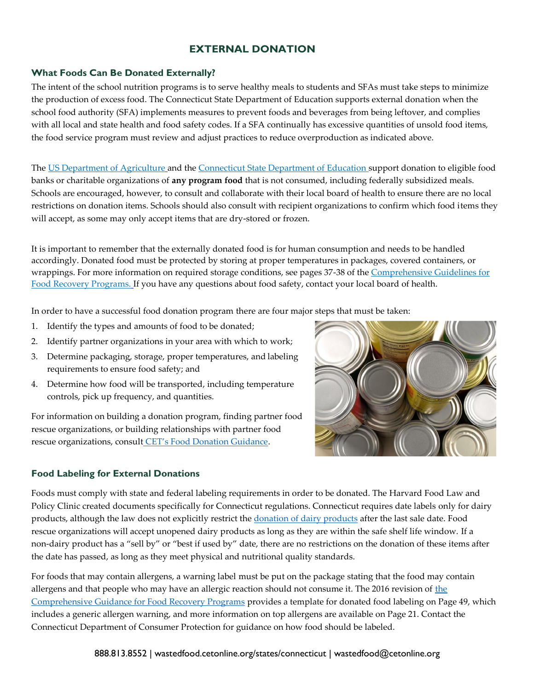## **EXTERNAL DONATION**

## **What Foods Can Be Donated Externally?**

The intent of the school nutrition programs is to serve healthy meals to students and SFAs must take steps to minimize the production of excess food. The Connecticut State Department of Education supports external donation when the school food authority (SFA) implements measures to prevent foods and beverages from being leftover, and complies with all local and state health and food safety codes. If a SFA continually has excessive quantities of unsold food items, the food service program must review and adjust practices to reduce overproduction as indicated above.

The [US Department of Agriculture](https://fns-prod.azureedge.net/sites/default/files/cn/SP11_CACFP05_SFSP07-2012os.pdf) and the [Connecticut State Department of Education s](https://portal.ct.gov/-/media/SDE/Nutrition/NSLP/Memos/OMEarlierYears/OM14-12.pdf)upport donation to eligible food banks or charitable organizations of **any program food** that is not consumed, including federally subsidized meals. Schools are encouraged, however, to consult and collaborate with their local board of health to ensure there are no local restrictions on donation items. Schools should also consult with recipient organizations to confirm which food items they will accept, as some may only accept items that are dry-stored or frozen.

It is important to remember that the externally donated food is for human consumption and needs to be handled accordingly. Donated food must be protected by storing at proper temperatures in packages, covered containers, or wrappings. For more information on required storage conditions, see pages 37-38 of th[e Comprehensive Guidelines for](http://www.foodprotect.org/guides-documents/comprehensive-guidance-for-food-recovery-programs/) [Food Recovery Programs.](http://www.foodprotect.org/guides-documents/comprehensive-guidance-for-food-recovery-programs/) If you have any questions about food safety, contact your local board of health.

In order to have a successful food donation program there are four major steps that must be taken:

- 1. Identify the types and amounts of food to be donated;
- 2. Identify partner organizations in your area with which to work;
- 3. Determine packaging, storage, proper temperatures, and labeling requirements to ensure food safety; and
- 4. Determine how food will be transported, including temperature controls, pick up frequency, and quantities.

For information on building a donation program, finding partner food rescue organizations, or building relationships with partner food rescue organizations, consult [CET's Food Donation Guidance](https://wastedfood.cetonline.org/wp-content/uploads/2018/04/CET-Food-Donation-Guidance.pdf).



## **Food Labeling for External Donations**

Foods must comply with state and federal labeling requirements in order to be donated. The Harvard Food Law and Policy Clinic created documents specifically for Connecticut regulations. Connecticut requires date labels only for dairy products, although the law does not explicitly restrict the [donation of dairy products](https://portal.ct.gov/-/media/DEEP/waste_management_and_disposal/Solid_Waste_Management_Plan/Final_Harvard_Food_Fact_Sheets/FINALDateLabelingFactSheetforConnecticutFoodDonationpdf.pdf?la=en) after the last sale date. Food rescue organizations will accept unopened dairy products as long as they are within the safe shelf life window. If a non-dairy product has a "sell by" or "best if used by" date, there are no restrictions on the donation of these items after the date has passed, as long as they meet physical and nutritional quality standards.

For foods that may contain allergens, a warning label must be put on the package stating that the food may contain allergens and that people who may have an allergic reaction should not consume it. The 2016 revision of [the](http://www.foodprotect.org/guides-documents/comprehensive-guidance-for-food-recovery-programs/) [Comprehensive Guidance for Food Recovery Programs](http://www.foodprotect.org/guides-documents/comprehensive-guidance-for-food-recovery-programs/) provides a template for donated food labeling on Page 49, which includes a generic allergen warning, and more information on top allergens are available on Page 21. Contact the Connecticut Department of Consumer Protection for guidance on how food should be labeled.